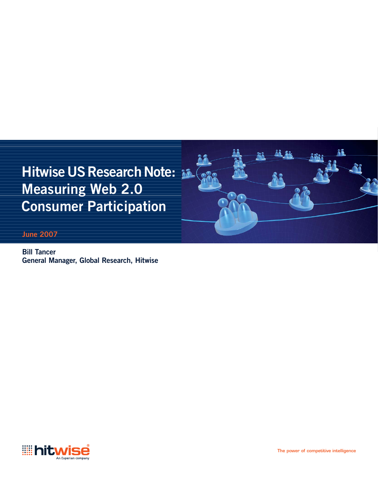

**Bill Tancer General Manager, Global Research, Hitwise**

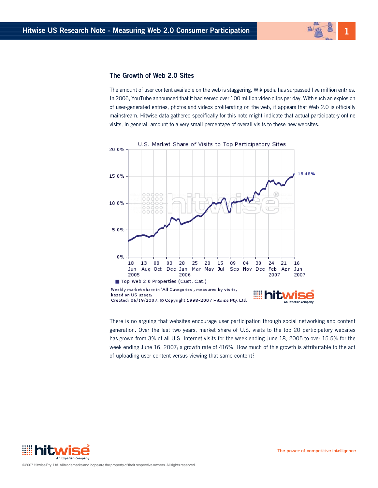# **1**

## **The Growth of Web 2.0 Sites**

The amount of user content available on the web is staggering. Wikipedia has surpassed five million entries. In 2006, YouTube announced that it had served over 100 million video clips per day. With such an explosion of user-generated entries, photos and videos proliferating on the web, it appears that Web 2.0 is officially mainstream. Hitwise data gathered specifically for this note might indicate that actual participatory online visits, in general, amount to a very small percentage of overall visits to these new websites.



There is no arguing that websites encourage user participation through social networking and content generation. Over the last two years, market share of U.S. visits to the top 20 participatory websites has grown from 3% of all U.S. Internet visits for the week ending June 18, 2005 to over 15.5% for the week ending June 16, 2007; a growth rate of 416%. How much of this growth is attributable to the act of uploading user content versus viewing that same content?

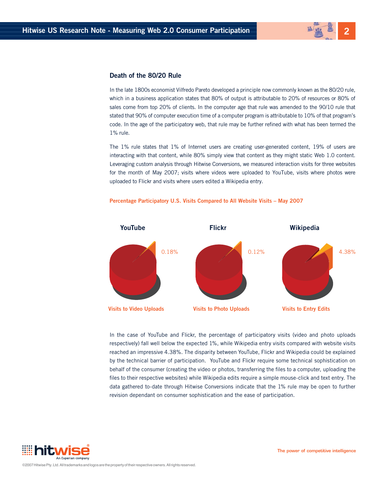# **2**

### **Death of the 80/20 Rule**

In the late 1800s economist Vilfredo Pareto developed a principle now commonly known as the 80/20 rule, which in a business application states that 80% of output is attributable to 20% of resources or 80% of sales come from top 20% of clients. In the computer age that rule was amended to the 90/10 rule that stated that 90% of computer execution time of a computer program is attributable to 10% of that program's code. In the age of the participatory web, that rule may be further refined with what has been termed the 1% rule.

The 1% rule states that 1% of Internet users are creating user-generated content, 19% of users are interacting with that content, while 80% simply view that content as they might static Web 1.0 content. Leveraging custom analysis through Hitwise Conversions, we measured interaction visits for three websites for the month of May 2007; visits where videos were uploaded to YouTube, visits where photos were uploaded to Flickr and visits where users edited a Wikipedia entry.



#### **Percentage Participatory U.S. Visits Compared to All Website Visits – May 2007**

In the case of YouTube and Flickr, the percentage of participatory visits (video and photo uploads respectively) fall well below the expected 1%, while Wikipedia entry visits compared with website visits reached an impressive 4.38%. The disparity between YouTube, Flickr and Wikipedia could be explained by the technical barrier of participation. YouTube and Flickr require some technical sophistication on behalf of the consumer (creating the video or photos, transferring the files to a computer, uploading the files to their respective websites) while Wikipedia edits require a simple mouse-click and text entry. The data gathered to-date through Hitwise Conversions indicate that the 1% rule may be open to further revision dependant on consumer sophistication and the ease of participation.

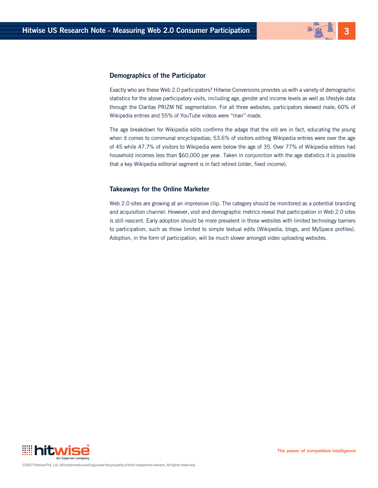

#### **Demographics of the Participator**

Exactly who are these Web 2.0 participators? Hitwise Conversions provides us with a variety of demographic statistics for the above participatory visits, including age, gender and income levels as well as lifestyle data through the Claritas PRIZM NE segmentation. For all three websites, participators skewed male; 60% of Wikipedia entries and 55% of YouTube videos were "man"-made.

The age breakdown for Wikipedia edits confirms the adage that the old are in fact, educating the young when it comes to communal encyclopedias; 53.6% of visitors editing Wikipedia entries were over the age of 45 while 47.7% of visitors to Wikipedia were below the age of 35. Over 77% of Wikipedia editors had household incomes less than \$60,000 per year. Taken in conjunction with the age statistics it is possible that a key Wikipedia editorial segment is in fact retired (older, fixed income).

#### **Takeaways for the Online Marketer**

Web 2.0 sites are growing at an impressive clip. The category should be monitored as a potential branding and acquisition channel. However, visit and demographic metrics reveal that participation in Web 2.0 sites is still nascent. Early adoption should be more prevalent in those websites with limited technology barriers to participation, such as those limited to simple textual edits (Wikipedia, blogs, and MySpace profiles). Adoption, in the form of participation, will be much slower amongst video uploading websites.

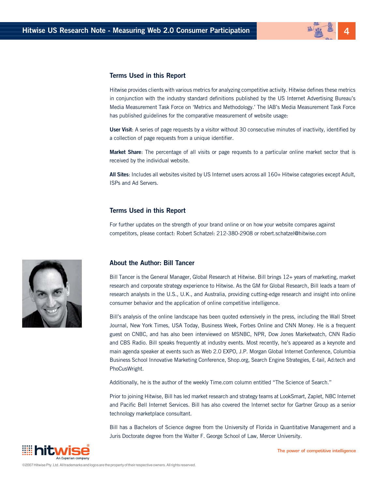

#### **Terms Used in this Report**

Hitwise provides clients with various metrics for analyzing competitive activity. Hitwise defines these metrics in conjunction with the industry standard definitions published by the US Internet Advertising Bureau's Media Measurement Task Force on 'Metrics and Methodology.' The IAB's Media Measurement Task Force has published guidelines for the comparative measurement of website usage:

**User Visit:** A series of page requests by a visitor without 30 consecutive minutes of inactivity, identified by a collection of page requests from a unique identifier.

**Market Share**: The percentage of all visits or page requests to a particular online market sector that is received by the individual website.

All Sites: Includes all websites visited by US Internet users across all 160+ Hitwise categories except Adult, ISPs and Ad Servers.

#### **Terms Used in this Report**

For further updates on the strength of your brand online or on how your website compares against competitors, please contact: Robert Schatzel: 212-380-2908 or robert.schatzel@hitwise.com



#### **About the Author: Bill Tancer**

Bill Tancer is the General Manager, Global Research at Hitwise. Bill brings 12+ years of marketing, market research and corporate strategy experience to Hitwise. As the GM for Global Research, Bill leads a team of research analysts in the U.S., U.K., and Australia, providing cutting-edge research and insight into online consumer behavior and the application of online competitive intelligence.

Bill's analysis of the online landscape has been quoted extensively in the press, including the Wall Street Journal, New York Times, USA Today, Business Week, Forbes Online and CNN Money. He is a frequent guest on CNBC, and has also been interviewed on MSNBC, NPR, Dow Jones Marketwatch, CNN Radio and CBS Radio. Bill speaks frequently at industry events. Most recently, he's appeared as a keynote and main agenda speaker at events such as Web 2.0 EXPO, J.P. Morgan Global Internet Conference, Columbia Business School Innovative Marketing Conference, Shop.org, Search Engine Strategies, E-tail, Ad:tech and PhoCusWright.

Additionally, he is the author of the weekly Time.com column entitled "The Science of Search."

Prior to joining Hitwise, Bill has led market research and strategy teams at LookSmart, Zaplet, NBC Internet and Pacific Bell Internet Services. Bill has also covered the Internet sector for Gartner Group as a senior technology marketplace consultant.

Bill has a Bachelors of Science degree from the University of Florida in Quantitative Management and a Juris Doctorate degree from the Walter F. George School of Law, Mercer University.